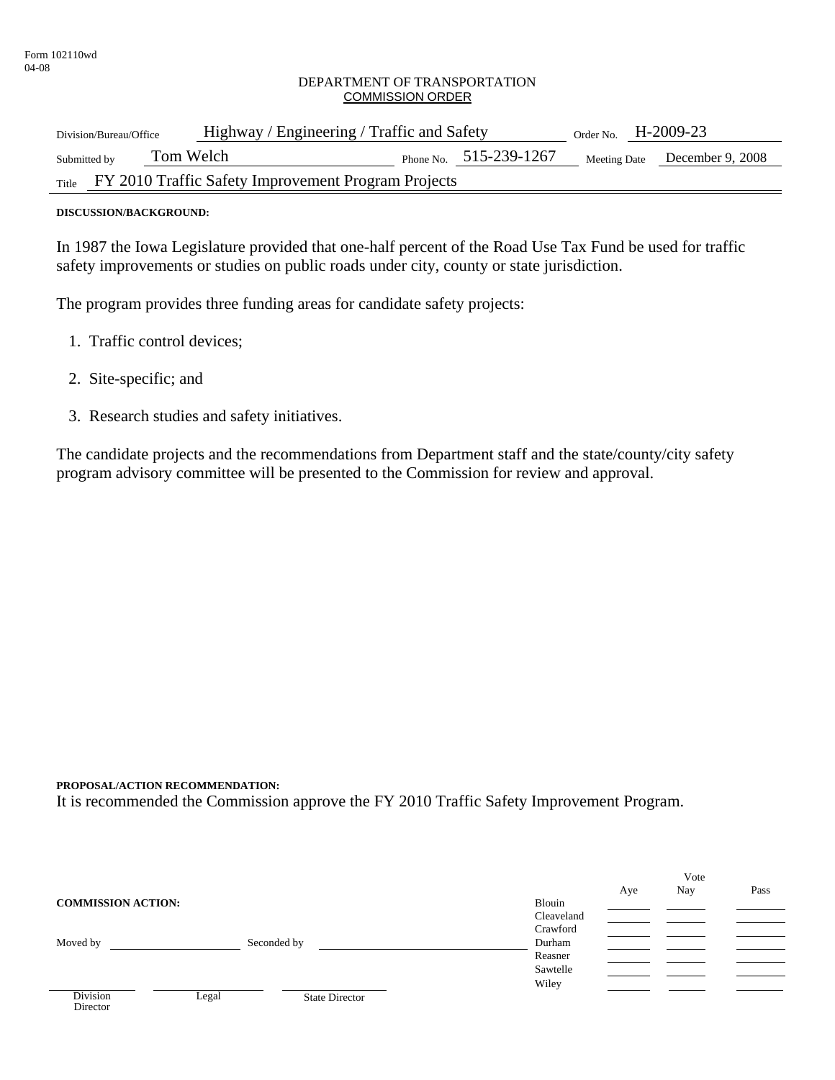#### DEPARTMENT OF TRANSPORTATION COMMISSION ORDER

| Division/Bureau/Office                                    | Highway / Engineering / Traffic and Safety | Order No. $H-2009-23$         |
|-----------------------------------------------------------|--------------------------------------------|-------------------------------|
| Tom Welch<br>Submitted by                                 | Phone No. $515-239-1267$                   | Meeting Date December 9, 2008 |
| Title FY 2010 Traffic Safety Improvement Program Projects |                                            |                               |

#### **DISCUSSION/BACKGROUND:**

In 1987 the Iowa Legislature provided that one-half percent of the Road Use Tax Fund be used for traffic safety improvements or studies on public roads under city, county or state jurisdiction.

The program provides three funding areas for candidate safety projects:

- 1. Traffic control devices;
- 2. Site-specific; and
- 3. Research studies and safety initiatives.

The candidate projects and the recommendations from Department staff and the state/county/city safety program advisory committee will be presented to the Commission for review and approval.

#### **PROPOSAL/ACTION RECOMMENDATION:**

It is recommended the Commission approve the FY 2010 Traffic Safety Improvement Program.

|                                                   |            |     | Vote |      |
|---------------------------------------------------|------------|-----|------|------|
|                                                   |            | Aye | Nay  | Pass |
| <b>COMMISSION ACTION:</b>                         | Blouin     |     |      |      |
|                                                   | Cleaveland |     |      |      |
|                                                   | Crawford   |     |      |      |
| Moved by<br>Seconded by                           | Durham     |     |      |      |
|                                                   | Reasner    |     |      |      |
|                                                   | Sawtelle   |     |      |      |
|                                                   | Wiley      |     |      |      |
| <b>Division</b><br><b>State Director</b><br>Legal |            |     |      |      |
| Director                                          |            |     |      |      |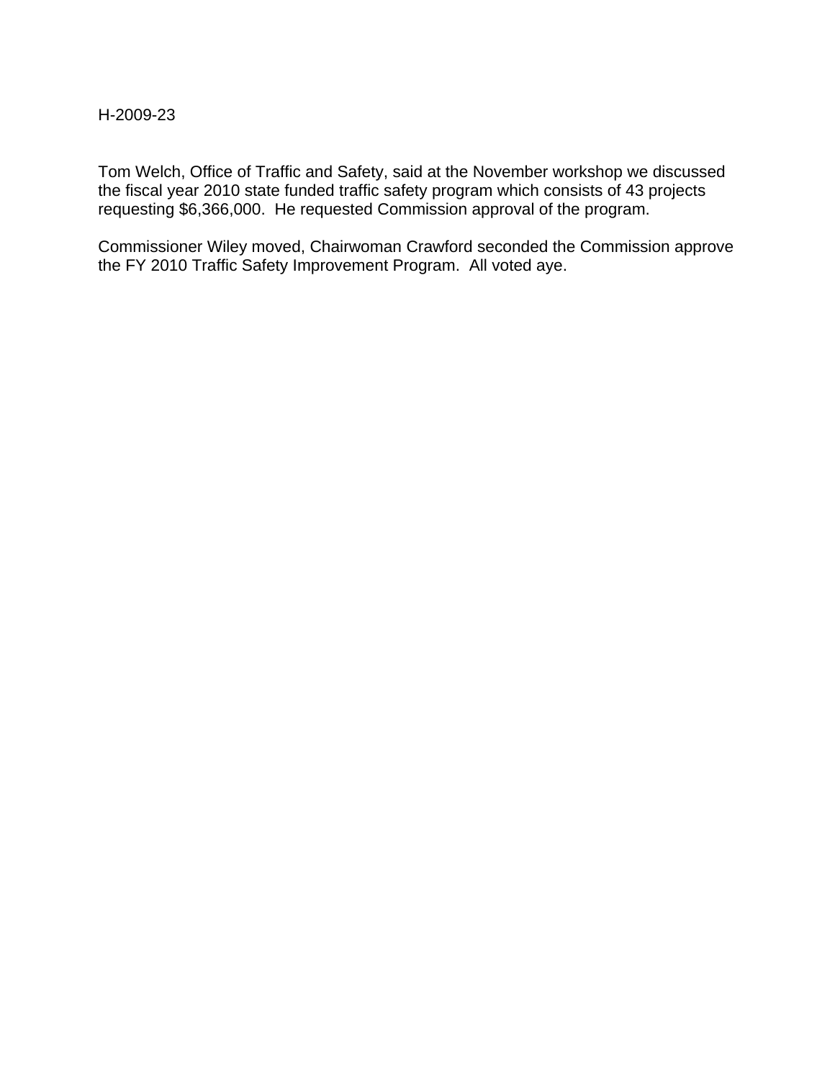### H-2009-23

Tom Welch, Office of Traffic and Safety, said at the November workshop we discussed the fiscal year 2010 state funded traffic safety program which consists of 43 projects requesting \$6,366,000. He requested Commission approval of the program.

Commissioner Wiley moved, Chairwoman Crawford seconded the Commission approve the FY 2010 Traffic Safety Improvement Program. All voted aye.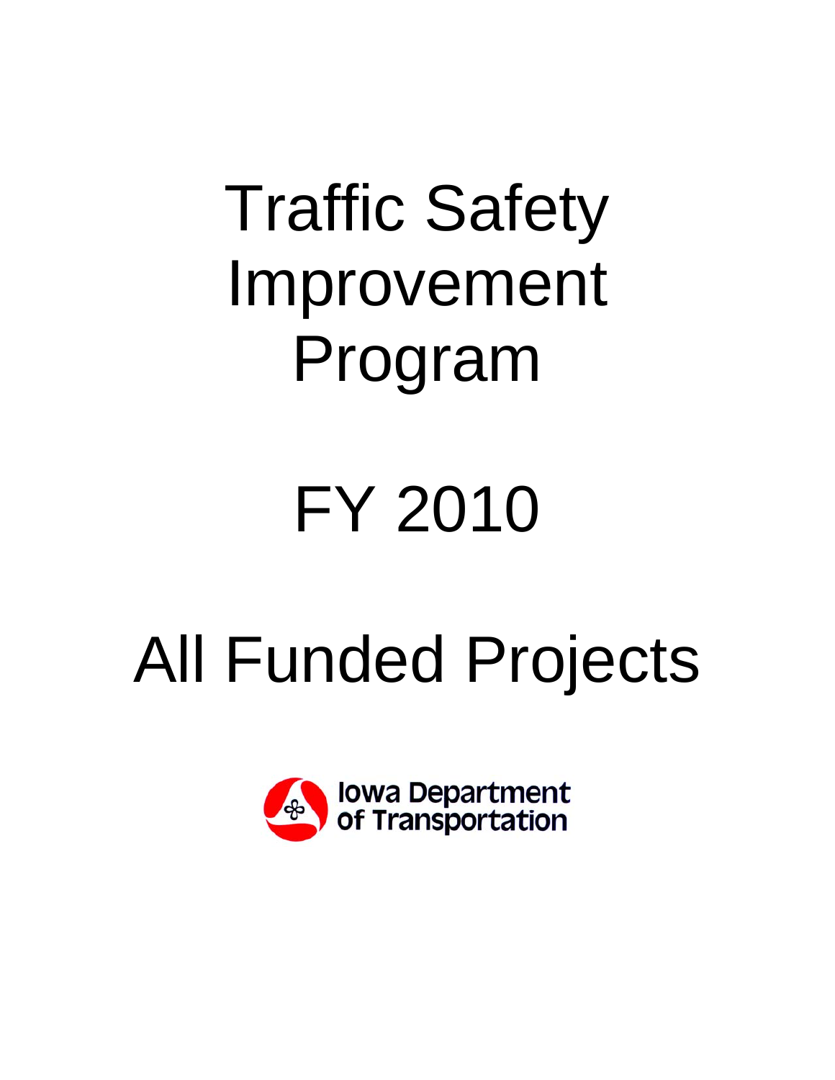# Traffic Safety Improvement Program

# FY 2010

# All Funded Projects

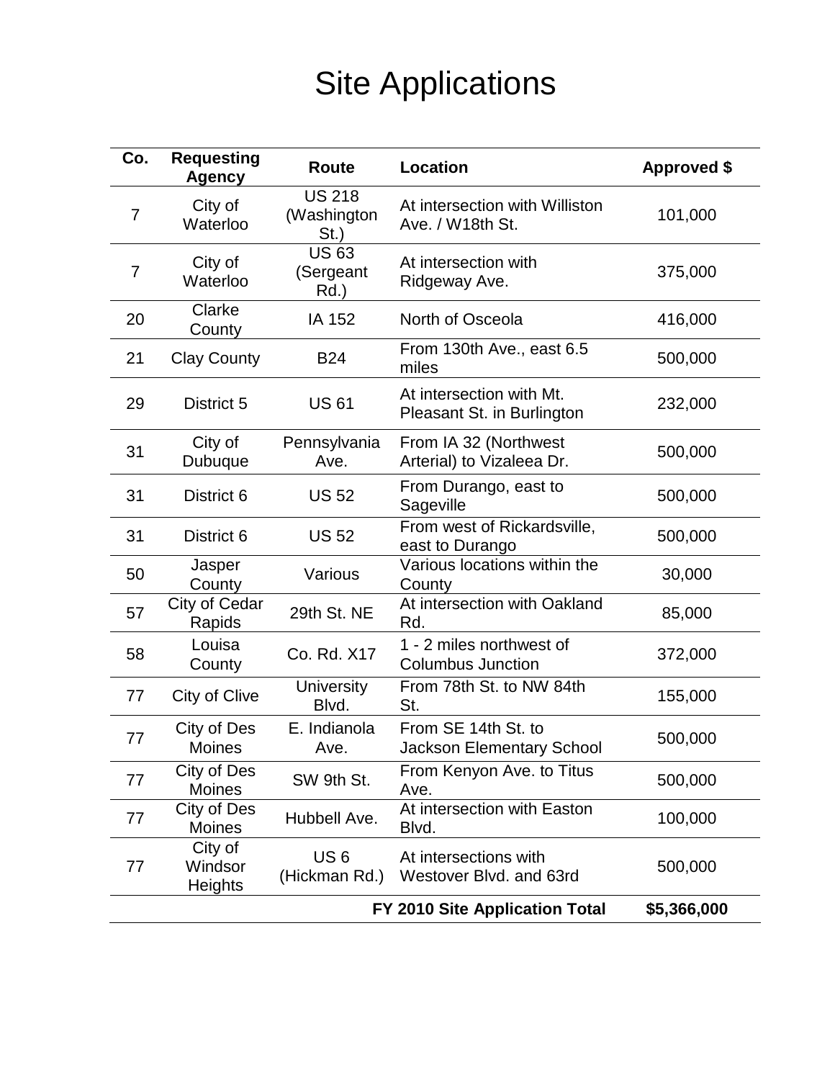## Site Applications

| Co.                                           | <b>Requesting</b><br><b>Agency</b> | <b>Route</b>                            | <b>Location</b>                                         | <b>Approved \$</b> |
|-----------------------------------------------|------------------------------------|-----------------------------------------|---------------------------------------------------------|--------------------|
| 7                                             | City of<br>Waterloo                | <b>US 218</b><br>(Washington<br>$St.$ ) | At intersection with Williston<br>Ave. / W18th St.      | 101,000            |
| 7                                             | City of<br>Waterloo                | <b>US63</b><br>(Sergeant<br>Rd.)        | At intersection with<br>Ridgeway Ave.                   | 375,000            |
| 20                                            | Clarke<br>County                   | IA 152                                  | North of Osceola                                        | 416,000            |
| 21                                            | <b>Clay County</b>                 | <b>B24</b>                              | From 130th Ave., east 6.5<br>miles                      | 500,000            |
| 29                                            | District 5                         | <b>US61</b>                             | At intersection with Mt.<br>Pleasant St. in Burlington  | 232,000            |
| 31                                            | City of<br>Dubuque                 | Pennsylvania<br>Ave.                    | From IA 32 (Northwest<br>Arterial) to Vizaleea Dr.      | 500,000            |
| 31                                            | District 6                         | <b>US 52</b>                            | From Durango, east to<br>Sageville                      | 500,000            |
| 31                                            | District 6                         | <b>US 52</b>                            | From west of Rickardsville,<br>east to Durango          | 500,000            |
| 50                                            | Jasper<br>County                   | Various                                 | Various locations within the<br>County                  | 30,000             |
| 57                                            | City of Cedar<br>Rapids            | 29th St. NE                             | At intersection with Oakland<br>Rd.                     | 85,000             |
| 58                                            | Louisa<br>County                   | Co. Rd. X17                             | 1 - 2 miles northwest of<br><b>Columbus Junction</b>    | 372,000            |
| 77                                            | City of Clive                      | <b>University</b><br>Blvd.              | From 78th St. to NW 84th<br>St.                         | 155,000            |
| 77                                            | City of Des<br><b>Moines</b>       | E. Indianola<br>Ave.                    | From SE 14th St. to<br><b>Jackson Elementary School</b> | 500,000            |
| 77                                            | City of Des<br><b>Moines</b>       | SW 9th St.                              | From Kenyon Ave. to Titus<br>Ave.                       | 500,000            |
| 77                                            | City of Des<br><b>Moines</b>       | Hubbell Ave.                            | At intersection with Easton<br>Blvd.                    | 100,000            |
| 77                                            | City of<br>Windsor<br>Heights      | US <sub>6</sub><br>(Hickman Rd.)        | At intersections with<br>Westover Blvd. and 63rd        | 500,000            |
| FY 2010 Site Application Total<br>\$5,366,000 |                                    |                                         |                                                         |                    |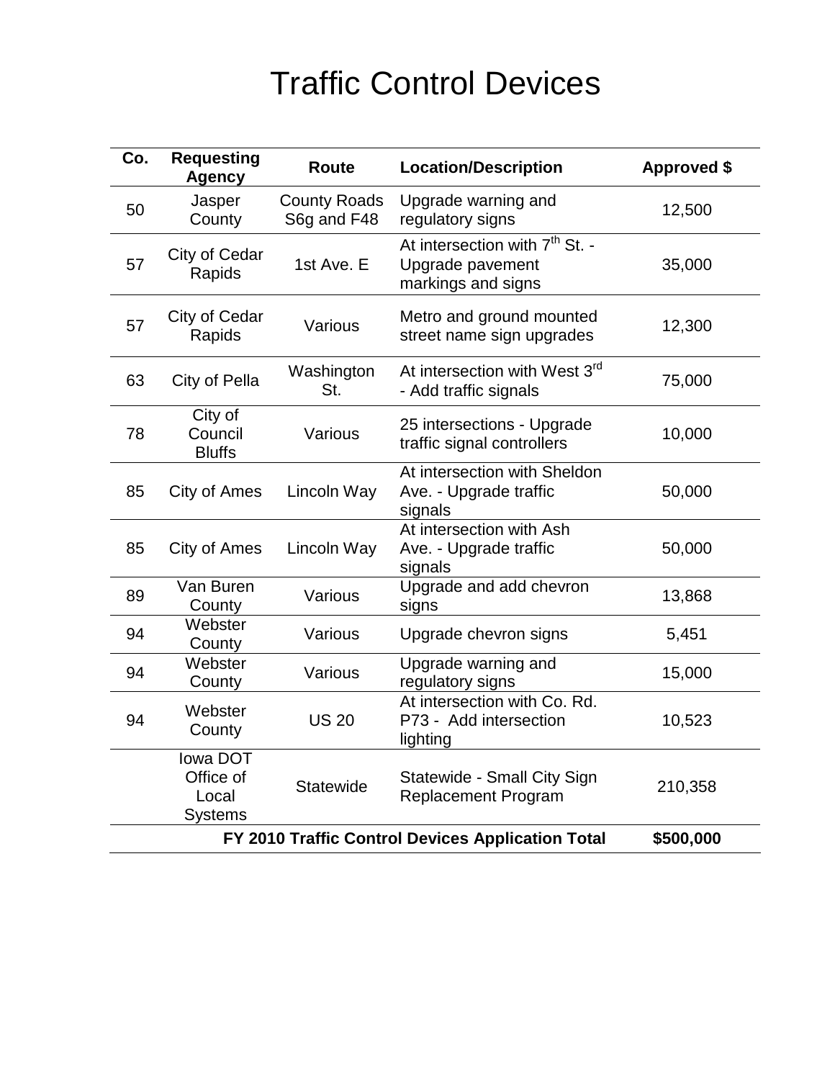## Traffic Control Devices

| Co.                                               | <b>Requesting</b><br><b>Agency</b>               | <b>Route</b>                       | <b>Location/Description</b>                                                          | <b>Approved \$</b> |
|---------------------------------------------------|--------------------------------------------------|------------------------------------|--------------------------------------------------------------------------------------|--------------------|
| 50                                                | Jasper<br>County                                 | <b>County Roads</b><br>S6g and F48 | Upgrade warning and<br>regulatory signs                                              | 12,500             |
| 57                                                | City of Cedar<br>Rapids                          | 1st Ave. E                         | At intersection with 7 <sup>th</sup> St. -<br>Upgrade pavement<br>markings and signs | 35,000             |
| 57                                                | City of Cedar<br>Rapids                          | Various                            | Metro and ground mounted<br>street name sign upgrades                                | 12,300             |
| 63                                                | City of Pella                                    | Washington<br>St.                  | At intersection with West 3 <sup>rd</sup><br>- Add traffic signals                   | 75,000             |
| 78                                                | City of<br>Council<br><b>Bluffs</b>              | Various                            | 25 intersections - Upgrade<br>traffic signal controllers                             | 10,000             |
| 85                                                | City of Ames                                     | Lincoln Way                        | At intersection with Sheldon<br>Ave. - Upgrade traffic<br>signals                    | 50,000             |
| 85                                                | City of Ames                                     | Lincoln Way                        | At intersection with Ash<br>Ave. - Upgrade traffic<br>signals                        | 50,000             |
| 89                                                | Van Buren<br>County                              | Various                            | Upgrade and add chevron<br>signs                                                     | 13,868             |
| 94                                                | Webster<br>County                                | Various                            | Upgrade chevron signs                                                                | 5,451              |
| 94                                                | Webster<br>County                                | Various                            | Upgrade warning and<br>regulatory signs                                              | 15,000             |
| 94                                                | Webster<br>County                                | <b>US 20</b>                       | At intersection with Co. Rd.<br>P73 - Add intersection<br>lighting                   | 10,523             |
|                                                   | lowa DOT<br>Office of<br>Local<br><b>Systems</b> | Statewide                          | Statewide - Small City Sign<br><b>Replacement Program</b>                            | 210,358            |
| FY 2010 Traffic Control Devices Application Total |                                                  |                                    | \$500,000                                                                            |                    |